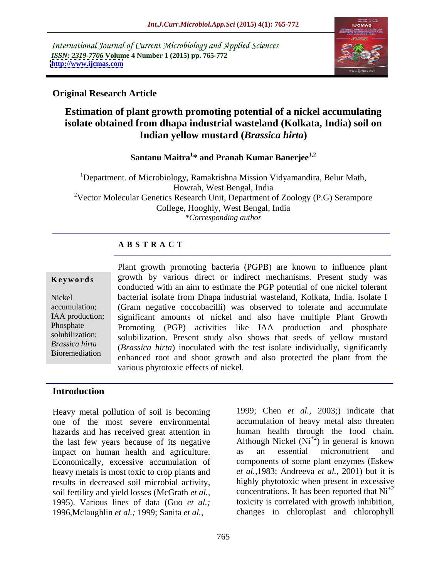International Journal of Current Microbiology and Applied Sciences *ISSN: 2319-7706* **Volume 4 Number 1 (2015) pp. 765-772 <http://www.ijcmas.com>**



### **Original Research Article**

# **Estimation of plant growth promoting potential of a nickel accumulating isolate obtained from dhapa industrial wasteland (Kolkata, India) soil on Indian yellow mustard (***Brassica hirta***)**

# **Santanu Maitra<sup>1</sup> \* and Pranab Kumar Banerjee1,2**

<sup>1</sup>Department. of Microbiology, Ramakrishna Mission Vidyamandira, Belur Math, Howrah, West Bengal, India <sup>2</sup>Vector Molecular Genetics Research Unit, Department of Zoology (P.G) Serampore College, Hooghly, West Bengal, India *\*Corresponding author*

#### **A B S T R A C T**

Bioremediation

Plant growth promoting bacteria (PGPB) are known to influence plant **Keywords** growth by various direct or indirect mechanisms. Present study was conducted with an aim to estimate the PGP potential of one nickel tolerant bacterial isolate from Dhapa industrial wasteland, Kolkata, India. Isolate I Nickel accumulation; (Gram negative coccobacilli) was observed to tolerate and accumulate IAA production; significant amounts of nickel and also have multiple Plant Growth Phosphate Promoting (PGP) activities like IAA production and phosphate solubilization; solubilization. Present study also shows that seeds of yellow mustard (*Brassica hirta*) inoculated with the test isolate individually, significantly *Brassica hirta* enhanced root and shoot growth and also protected the plant from the various phytotoxic effects of nickel.

#### **Introduction**

Heavy metal pollution of soil is becoming one of the most severe environmental hazards and has received great attention in the last few years because of its negative  $\frac{A}{\text{H}}$  Although Nickel (Ni<sup>+2</sup>) in general is limpact on human health and agriculture. as an essential micronutrient impact on human health and agriculture. as an essential micronutrient and Economically, excessive accumulation of components of some plant enzymes (Eskew heavy metals is most toxic to crop plants and results in decreased soil microbial activity, soil fertility and yield losses (McGrath *et al.,* 1995). Various lines of data (Guo *et al.;* toxicity is correlated with growth inhibition, 1996,Mclaughlin *et al.;* 1999; Sanita *et al.,*

1999; Chen *et al.,* 2003;) indicate that accumulation of heavy metal also threaten human health through the food chain. Although Nickel  $(Ni^{+2})$  in general is known as an essential micronutrient and *et al.,*1983; Andreeva *et al.,* 2001) but it is highly phytotoxic when present in excessive concentrations. It has been reported that  $Ni<sup>+2</sup>$ changes in chloroplast and chlorophyll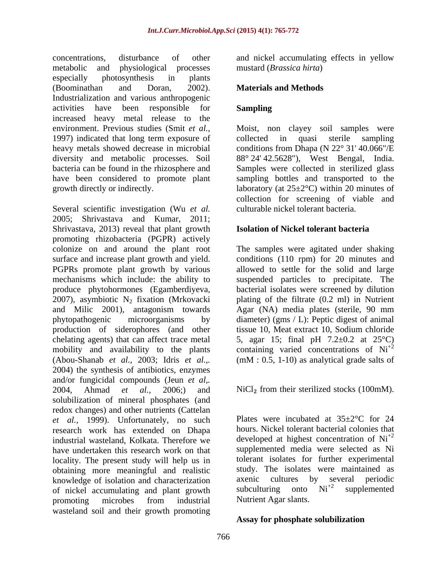concentrations, disturbance of other and nickel accumulating effects in yellow metabolic and physiological processes mustard (*Brassica hirta*) especially photosynthesis in plants (Boominathan and Doran, 2002). **Materials and Methods** Industrialization and various anthropogenic activities have been responsible for **Sampling** increased heavy metal release to the environment. Previous studies (Smit *et al.,* Moist, non clayey soil samples were 1997) indicated that long term exposure of collected in quasi sterile sampling heavy metals showed decrease in microbial diversity and metabolic processes. Soil 88° 24' 42.5628"), West Bengal, India. bacteria can be found in the rhizosphere and Samples were collected in sterilized glass have been considered to promote plant sampling bottles and transported to the growth directly or indirectly.  $\qquad \qquad$  laboratory (at  $25 \pm 2^{\circ}$ C) within 20 minutes of

Several scientific investigation (Wu *et al.* 2005; Shrivastava and Kumar, 2011; Shrivastava, 2013) reveal that plant growth promoting rhizobacteria (PGPR) actively colonize on and around the plant root The samples were agitated under shaking surface and increase plant growth and yield. conditions (110 rpm) for 20 minutes and PGPRs promote plant growth by various allowed to settle for the solid and large mechanisms which include: the ability to suspended particles to precipitate. The produce phytohormones (Egamberdiyeva, bacterial isolates were screened by dilution 2007), asymbiotic  $N_2$  fixation (Mrkovacki plating of the filtrate  $(0.2 \text{ ml})$  in Nutrient and Milic 2001), antagonism towards Agar (NA) media plates (sterile, 90 mm and Milic 2001), antagonism towards phytopathogenic microorganisms by diameter) (gms / L): Peptic digestof animal production of siderophores (and other tissue 10, Meat extract 10, Sodium chloride chelating agents) that can affect trace metal  $\qquad 5$ , agar 15; final pH 7.2 $\pm$ 0.2 at 25 $\degree$ C) mobility and availability to the plants containing varied concentrations of  $Ni<sup>+2</sup>$ (Abou-Shanab *et al.,* 2003; Idris *et al.,.* (mM : 0.5, 1-10) as analytical grade salts of 2004) the synthesis of antibiotics, enzymes and/or fungicidal compounds (Jeun *et al,.* 2004, Ahmad *et al.*, 2006;) and  $Nicl_2$  from their sterilized stocks (100mM). solubilization of mineral phosphates (and redox changes) and other nutrients (Cattelan *et al.,* 1999). Unfortunately, no such research work has extended on Dhapa industrial wasteland, Kolkata. Therefore we have undertaken this research work on that locality. The present study will help us in obtaining more meaningful and realistic study. The isolates were maintained as knowledge of isolation and characterization axenic cultures by several periodic knowledge of isolation and characterization<br>of nickel accumulating and plant growth subculturing onto  $Ni<sup>2</sup>$  supplemented of nickel accumulating and plant growth promoting microbes from industrial Nutrient Agar slants. wasteland soil and their growth promoting

mustard (*Brassica hirta*)

#### **Materials and Methods**

### **Sampling**

collected in quasi sterile sampling conditions from Dhapa (N 22° 31' 40.066"/E collection for screening of viable and culturable nickel tolerant bacteria.

#### **Isolation of Nickel tolerant bacteria**

plating of the filtrate (0.2 ml) in Nutrient Agar (NA) media plates (sterile, 90 mm

Plates were incubated at  $35\pm2\degree$ C for 24 hours. Nickel tolerant bacterial colonies that developed at highest concentration of  $Ni<sup>+2</sup>$ supplemented media were selected as Ni tolerant isolates for further experimental study. The isolates were maintained as axenic cultures by several periodic subculturing onto  $Ni^{+2}$  supplemented supplemented Nutrient Agar slants.

#### **Assay for phosphate solubilization**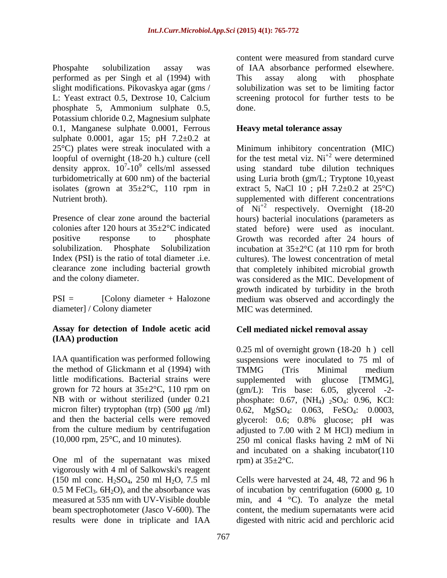Phospahte solubilization assay was of IAA absorbance performed elsewhere. performed as per Singh et al (1994) with slight modifications. Pikovaskya agar (gms / solubilization was set to be limiting factor L: Yeast extract 0.5, Dextrose 10, Calcium screening protocol for further tests to be phosphate 5, Ammonium sulphate 0.5, Potassium chloride 0.2, Magnesium sulphate 0.1, Manganese sulphate 0.0001, Ferrous sulphate 0.0001, agar 15; pH  $7.2 \pm 0.2$  at loopful of overnight (18-20 h.) culture (cell density approx.  $10^{7}-10^{9}$  cells/ml assessed

diameter] / Colony diameter

### **Assay for detection of Indole acetic acid (IAA) production**

IAA quantification was performed following the method of Glickmann et al (1994) with TMMG (Tris Minimal medium little modifications. Bacterial strains were supplemented micron filter) tryptophan (trp)  $(500 \mu g/ml)$ from the culture medium by centrifugation adjusted to 7.00 with 2 M HCl) medium in (10,000 rpm, 25°C, and 10 minutes).

One ml of the supernatant was mixed vigorously with 4 ml of Salkowski's reagent (150 ml conc.  $H_2SO_4$ , 250 ml  $H_2O$ , 7.5 ml 0.5 M FeCl<sub>3</sub>. 6H<sub>2</sub>O), and the absorbance was results were done in triplicate and IAA digested with nitric acid and perchloric acid

content were measured from standard curve This assay along with phosphate done.

### **Heavy metal tolerance assay**

25°C) plates were streak inoculated with a Minimum inhibitory concentration (MIC)  $7-10^9$  cells/ml assessed using standard tube dilution techniques turbidometrically at 600 nm) of the bacterial using Luria broth (gm/L; Tryptone 10,yeast isolates (grown at  $35\pm2^{\circ}$ C, 110 rpm in extract 5, NaCl 10; pH 7.2 $\pm$ 0.2 at 25 $^{\circ}$ C) Nutrient broth). supplemented with different concentrations Presence of clear zone around the bacterial hours) bacterial inoculations (parameters as colonies after 120 hours at 35±2°C indicated stated before) were used as inoculant. positive response to phosphate Growth was recorded after 24 hours of solubilization. Phosphate Solubilization incubation at 35±2°C (at 110 rpm for broth Index (PSI) is the ratio of total diameter .i.e. cultures). The lowest concentration of metal clearance zone including bacterial growth that completely inhibited microbial growth and the colony diameter. was considered as the MIC. Development of PSI = [Colony diameter + Halozone medium was observed and accordingly the for the test metal viz.  $Ni^{+2}$  were determined were determined of Ni+2 respectively. Overnight (18-20 growth indicated by turbidity in the broth MIC was determined.

# **Cell mediated nickel removal assay**

grown for 72 hours at  $35\pm2^{\circ}$ C, 110 rpm on (gm/L): Tris base: 6.05, glycerol -2-NB with or without sterilized (under 0.21 phosphate: 0.67, (NH<sub>4</sub>) <sub>2</sub>SO<sub>4</sub>: 0.96, KCl: and then the bacterial cells were removed glycerol: 0.6; 0.8% glucose; pH was 0.25 ml of overnight grown (18-20 h ) cell suspensions were inoculated to 75 ml of TMMG (Tris Minimal medium with glucose [TMMG], 0.62, MgSO<sub>4</sub>: 0.063, FeSO<sub>4</sub>: 0.0003, adjusted to 7.00 with 2 M HCl) medium in 250 ml conical flasks having 2 mM of Ni and incubated on a shaking incubator(110 rpm) at  $35 \pm 2$ °C.

0.5 M FeCl<sub>3</sub>.  $6H_2O$ ), and the absorbance was of incubation by centrifugation (6000 g, 10 measured at 535 nm with UV-Visible double min, and 4 °C). To analyze the metal beam spectrophotometer (Jasco V-600). The content, the medium supernatants were acid Cells were harvested at 24, 48, 72 and 96 h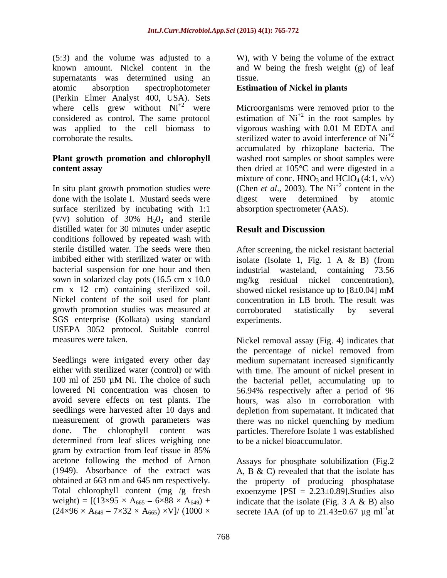(5:3) and the volume was adjusted to a W), with V being the volume of the extract known amount. Nickel content in the and W being the fresh weight (g) of leaf supernatants was determined using an tissue. atomic absorption spectrophotometer **Estimation of Nickel in plants** (Perkin Elmer Analyst 400, USA). Sets where cells grew without  $Ni^{+2}$  were considered as control. The same protocol estimation of  $Ni<sup>+2</sup>$  in the root samples by was applied to the cell biomass to vigorous washing with 0.01 M EDTA and

# **Plant growth promotion and chlorophyll**

done with the isolate I. Mustard seeds were digest were determined by atomic surface sterilized by incubating with 1:1  $(v/v)$  solution of 30%  $H_2O_2$  and sterile distilled water for 30 minutes under aseptic **Result and Discussion** conditions followed by repeated wash with sterile distilled water. The seeds were then After screening, the nickel resistant bacterial imbibed either with sterilized water or with isolate (Isolate 1, Fig. 1 A & B) (from bacterial suspension for one hour and then industrial wasteland, containing 73.56 sown in solarized clay pots (16.5 cm x 10.0 mg/kg residual nickel concentration), cm x 12 cm) containing sterilized soil. Showed nickel resistance up to  $[8\pm0.04]$  mM Nickel content of the soil used for plant concentration in LB broth. The result was growth promotion studies was measured at SGS enterprise (Kolkata) using standard USEPA 3052 protocol. Suitable control

Seedlings were irrigated every other day medium supernatant increased significantly either with sterilized water (control) or with with time. The amount of nickel present in 100 ml of 250 µM Ni. The choice of such the bacterial pellet, accumulating up to lowered Ni concentration was chosen to 56.94% respectively after a period of 96 avoid severe effects on test plants. The hours, was also in corroboration with seedlings were harvested after 10 days and depletion from supernatant. It indicated that measurement of growth parameters was there was no nickel quenching by medium done. The chlorophyll content was particles. Therefore Isolate 1 was established determined from leaf slices weighing one gram by extraction from leaf tissue in 85% acetone following the method of Arnon Assays for phosphate solubilization (Fig.2 (1949). Absorbance of the extract was A, B & C) revealed that that the isolate has obtained at 663 nm and 645 nm respectively. the property of producing phosphatase Total chlorophyll content (mg /g fresh exoenzyme [PSI = 2.23±0.89].Studies also weight) =  $[(13 \times 95 \times A_{665} - 6 \times 88 \times A_{649}) + \text{indicate that the isolate (Fig. 3 A & B) also}$ 

tissue.

were Microorganisms were removed prior to the corroborate the results.  $\frac{1}{2}$  sterilized water to avoid interference of Ni<sup>+2</sup> **content assay** then dried at 105<sup>°</sup>C and were digested in a In situ plant growth promotion studies were (Chen *et al.*, 2003). The Ni<sup>+2</sup> content in the vigorous washing with 0.01 M EDTA and sterilized water to avoid interference of Ni<sup>+2</sup><br>accumulated by rhizoplane bacteria. The washed root samples or shoot samples were mixture of conc.  $HNO_3$  and  $HClO_4$  (4:1, v/v) content in the digest were determined by atomic absorption spectrometer (AAS).

# **Result and Discussion**

industrial wasteland, containing 73.56 mg/kg residual nickel concentration), showed nickel resistance up to  $[8\pm0.04]$  mM corroborated statistically by several experiments.

measures were taken. Nickel removal assay (Fig. 4) indicates that the percentage of nickel removed from to be a nickel bioaccumulator.

 $(24 \times 96 \times A_{649} - 7 \times 32 \times A_{665}) \times V$ / (1000 × secrete IAA (of up to 21.43±0.67 µg ml<sup>-1</sup>at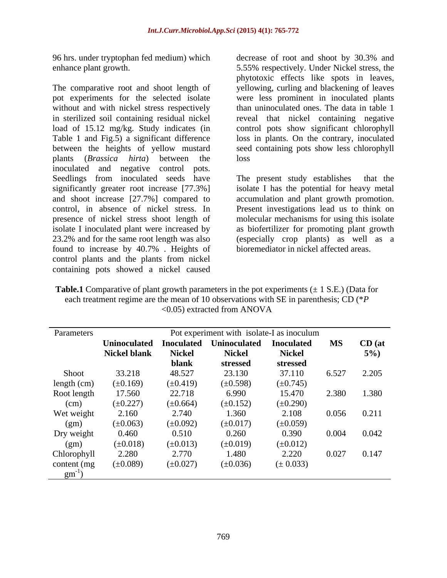96 hrs. under tryptophan fed medium) which decrease of root and shoot by 30.3% and

The comparative root and shoot length of yellowing, curling and blackening of leaves pot experiments for the selected isolate were less prominent in inoculated plants without and with nickel stress respectively in sterilized soil containing residual nickel load of 15.12 mg/kg. Study indicates (in control pots show significant chlorophyll Table 1 and Fig.5) a significant difference loss in plants. On the contrary, inoculated between the heights of yellow mustard seed containing pots show less chlorophyll plants (*Brassica hirta*) between the inoculated and negative control pots. Seedlings from inoculated seeds have The present study establishes that the significantly greater root increase [77.3%] isolate I has the potential for heavy metal and shoot increase [27.7%] compared to control, in absence of nickel stress. In Present investigations lead us to think on presence of nickel stress shoot length of molecular mechanisms for using this isolate isolate I inoculated plant were increased by as biofertilizer for promoting plant growth 23.2% and for the same root length was also (especially crop plants) as well as a found to increase by 40.7% . Heights of control plants and the plants from nickel containing pots showed a nickel caused

enhance plant growth. 5.55% respectively. Under Nickel stress, the decrease of root and shoot by 30.3% and phytotoxic effects like spots in leaves, than uninoculated ones. The data in table 1 reveal that nickel containing negative loss and the set of the set of the set of the set of the set of the set of the set of the set of the set of the set of the set of the set of the set of the set of the set of the set of the set of the set of the set of the

> The present study establishes accumulation and plant growth promotion. bioremediator in nickel affected areas.

**Table.1** Comparative of plant growth parameters in the pot experiments  $(\pm 1 \text{ S.E.})$  (Data for each treatment regime are the mean of 10 observations with SE in parenthesis; CD (\**P*  <0.05) extracted from ANOVA

| Parameters   | Pot experiment with isolate-I as inoculum |               |                                    |               |                          |          |
|--------------|-------------------------------------------|---------------|------------------------------------|---------------|--------------------------|----------|
|              | <b>Uninoculated</b>                       |               | Inoculated Uninoculated Inoculated |               | $\overline{\mathbf{MS}}$ | $CD$ (at |
|              | <b>Nickel blank</b>                       | <b>Nickel</b> | <b>Nickel</b>                      | <b>Nickel</b> |                          | $5\%$ )  |
|              |                                           | blank         | stressed                           | stressed      |                          |          |
| Shoot        | 33.218                                    | 48.527        | 23.130                             | 37.110        | 6.527                    | 2.205    |
| length (cm)  | $(\pm 0.169)$                             | $(\pm 0.419)$ | $(\pm 0.598)$                      | $(\pm 0.745)$ |                          |          |
| Root length  | 17.560                                    | 22.718        | 6.990                              | 15.470        | 2.380                    | 1.380    |
| (cm)         | $(\pm 0.227)$                             | $(\pm 0.664)$ | $(\pm 0.152)$                      | $(\pm 0.290)$ |                          |          |
| Wet weight   | 2.160                                     | 2.740         | 1.360                              | 2.108         | 0.056                    | 0.211    |
| (gm)         | $(\pm 0.063)$                             | $(\pm 0.092)$ | $(\pm 0.017)$                      | $(\pm 0.059)$ |                          |          |
| Dry weight   | 0.460                                     | 0.510         | 0.260                              | 0.390         | 0.004                    | 0.042    |
| (gm)         | $(\pm 0.018)$                             | $(\pm 0.013)$ | $(\pm 0.019)$                      | $(\pm 0.012)$ |                          |          |
| Chlorophyll  | 2.280                                     | 2.770         | 1.480                              | 2.220         | 0.027                    | 0.147    |
| content (mg) | $(\pm 0.089)$                             | $(\pm 0.027)$ | $(\pm 0.036)$                      | $(\pm 0.033)$ |                          |          |
| gm           |                                           |               |                                    |               |                          |          |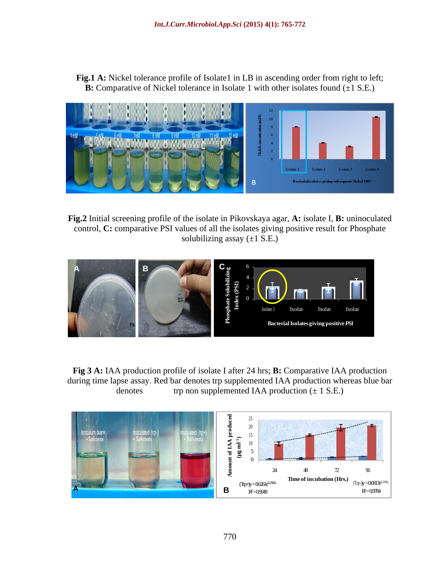**Fig.1 A:** Nickel tolerance profile of Isolate1 in LB in ascending order from right to left; **B:** Comparative of Nickel tolerance in Isolate 1 with other isolates found ( $\pm$ 1 S.E.)



**Fig.2** Initial screening profile of the isolate in Pikovskaya agar, **A:** isolate I, **B:** uninoculated control, **C:** comparative PSI values of all the isolates giving positive result for Phosphate solubilizing assay  $(\pm 1 \text{ S.E.})$ 



**Fig 3 A:** IAA production profile of isolate I after 24 hrs; **B:** Comparative IAA production during time lapse assay. Red bar denotes trp supplemented IAA production whereas blue bar denotes trp non supplemented IAA production  $(\pm 1 \text{ S.E.})$ 

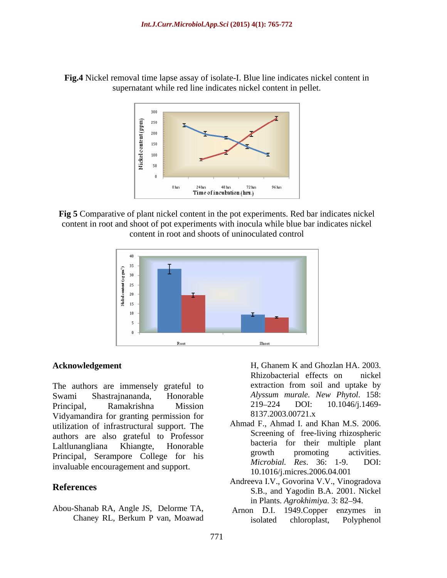



**Fig 5** Comparative of plant nickel content in the pot experiments. Red bar indicates nickel content in root and shoot of pot experiments with inocula while blue bar indicates nickel content in root and shoots of uninoculated control



Swami Shastrajnananda, Honorable *Alyssum murale. New Phytol*. 158: Principal, Ramakrishna Mission 219–224 DOI: 10.1046/j.1469-Vidyamandira for granting permission for 8137.2003.00721.x utilization of infrastructural support. The authors are also grateful to Professor Laltlunangliana Khiangte, Honorable **Exercise Calculation** of their multiple plant Principal, Serampore College for his material activities.<br>
Microbial, Res. 36: 1-9. DOI: invaluable encouragement and support.

Abou-Shanab RA, Angle JS, Delorme TA,

**Acknowledgement** H, Ghanem K and Ghozlan HA. 2003. The authors are immensely grateful to extraction from soil and uptake by H, Ghanem K and Ghozlan HA. 2003. Rhizobacterial effects on nickel extraction from soil and uptake by 219 224 DOI: 10.1046/j.1469- 8137.2003.00721.x

- Ahmad F., Ahmad I. and Khan M.S. 2006. Screening of free-living rhizospheric bacteria for their multiple plant growth promoting activities. *Microbial. Res.* 36: 1-9. 10.1016/j.micres.2006.04.001
- **References** S.B., and Yagodin B.A. 2001. Nickel Andreeva I.V., Govorina V.V., Vinogradova in Plants. Agrokhimiya. 3: 82–94.
	- Chaney RL, Berkum P van, Moawad Arnon D.I. 1949.Copper enzymes in isolated chloroplast, Polyphenol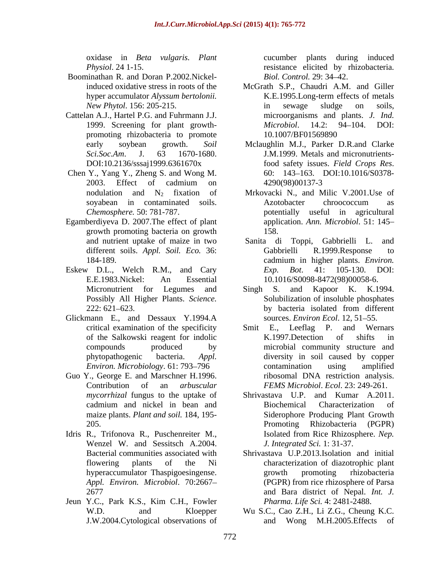- Boominathan R. and Doran P.2002.Nickel-
- Cattelan A.J., Hartel P.G. and Fuhrmann J.J. promoting rhizobacteria to promote 10.1007/BF01569890
- Chen Y., Yang Y., Zheng S. and Wong M.
- Egamberdiyeva D. 2007.The effect of plant growth promoting bacteria on growth
- Eskew D.L., Welch R.M., and Cary  $Exp.$   $Bot.$  41: 105-130. DOI: E.E.1983.Nickel: An Essential 10.1016/S0098-8472(98)00058-6.
- Glickmann E., and Dessaux Y.1994.A sources. *Environ Ecol*. 12, 51–55.
- *mycorrhizal* fungus to the uptake of
- Idris R., Trifonova R., Puschenreiter M., Isolated from Rice Rhizosphere. Nep. Wenzel W. and Sessitsch A.2004.
- Jeun Y.C., Park K.S., Kim C.H., Fowler

oxidase in *Beta vulgaris. Plant* cucumber plants during induced *Physiol*. 24 1-15. resistance elicited by rhizobacteria. *Biol. Control.* 29: 34–42.

- induced oxidative stress in roots of the McGrath S.P., Chaudri A.M. and Giller hyper accumulator *Alyssum bertolonii.* K.E.1995.Long-term effects of metals *New Phytol*. 156: 205-215. 1999. Screening for plant growth-<br>  $Microbiol.$  14.2: 94–104. DOI: in sewage sludge on soils, microorganisms and plants. *J. Ind. Microbiol*. 14.2: 94 104. DOI: 10.1007/BF01569890
- early soybean growth. *Soil*  Mclaughlin M.J., Parker D.R.and Clarke *Sci.Soc.Am*. J. 63 1670-1680. J.M.1999. Metals and micronutrients-DOI:10.2136/sssaj1999.6361670x food safety issues. Field Crops Res. 2003. Effect of cadmium on food safety issues. *Field Crops Res*. 60: <sup>143</sup> 163. DOI:10.1016/S0378- 4290(98)00137-3
- nodulation and  $N_2$  fixation of Mrkovacki N., and Milic V.2001. Use of soyabean in contaminated soils. Azotobacter chroococcum as *Chemosphere.* 50: 781-787. potentially useful in agricultural Azotobacter chroococcum as application. *Ann. Microbiol*. 51: 145 158.
- and nutrient uptake of maize in two Sanita di Toppi, Gabbrielli L. and different soils. *Appl. Soil. Eco.* 36: 184-189. cadmium in higher plants. *Environ.* Gabbrielli R.1999.Response to cadmium in higher plants. *Environ. Exp. Bot*. 41: 105-130. DOI:
- Micronutrient for Legumes and Singh S. and Kapoor K. K.1994. Possibly All Higher Plants. *Science.*  Solubilization of insoluble phosphates 222: 621–623. by bacteria isolated from different Singh S. and Kapoor K. K.1994. by bacteria isolated from different sources. *Environ Ecol.* 12, 51–55.
- critical examination of the specificity Smit E., Leeflag P. and Wernars of the Salkowski reagent for indolic compounds produced by microbial community structure and phytopathogenic bacteria. *Appl.*  diversity in soil caused by copper *Environ. Microbiology.* 61: 793–796 **contamination** using amplified Guo Y., George E. and Marschner H.1996. The ribosomal DNA restriction analysis. Contribution of an *arbuscular FEMS Microbiol*. *Ecol*. 23: 249-261. Smit E., Leeflag P. and Wernars K.1997.Detection of shifts in contamination using amplified ribosomal DNA restriction analysis.
	- cadmium and nickel in bean and maize plants. *Plant and soil.* 184, 195-<br>Siderophore Producing Plant Growth 205. Promoting Rhizobacteria (PGPR) Shrivastava U.P. and Kumar A.2011. Biochemical Characterization of Isolated from Rice Rhizosphere. *Nep. J. Integrated Sci.* 1: 31-37.
	- Bacterial communities associated with Shrivastava U.P.2013.Isolation and initial flowering plants of the Ni characterization of diazotrophic plant hyperaccumulator Thaspigoesingense. *Appl. Environ. Microbiol*. 70:2667 (PGPR) from rice rhizosphere of Parsa 2677 and Bara district of Nepal. *Int. J.* growth promoting rhizobacteria *Pharma. Life Sci.* 4: 2481-2488.
	- W.D. and Kloepper Wu S.C., Cao Z.H., Li Z.G., Cheung K.C. J.W.2004.Cytological observations of and Wong M.H.2005.Effects of